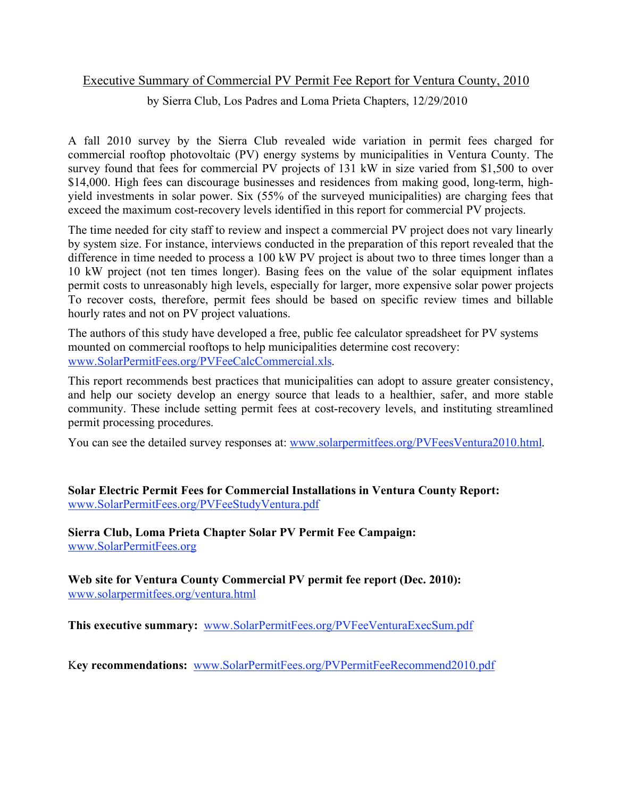## Executive Summary of Commercial PV Permit Fee Report for Ventura County, 2010

by Sierra Club, Los Padres and Loma Prieta Chapters, 12/29/2010

A fall 2010 survey by the Sierra Club revealed wide variation in permit fees charged for commercial rooftop photovoltaic (PV) energy systems by municipalities in Ventura County. The survey found that fees for commercial PV projects of 131 kW in size varied from \$1,500 to over \$14,000. High fees can discourage businesses and residences from making good, long-term, highyield investments in solar power. Six (55% of the surveyed municipalities) are charging fees that exceed the maximum cost-recovery levels identified in this report for commercial PV projects.

The time needed for city staff to review and inspect a commercial PV project does not vary linearly by system size. For instance, interviews conducted in the preparation of this report revealed that the difference in time needed to process a 100 kW PV project is about two to three times longer than a 10 kW project (not ten times longer). Basing fees on the value of the solar equipment inflates permit costs to unreasonably high levels, especially for larger, more expensive solar power projects To recover costs, therefore, permit fees should be based on specific review times and billable hourly rates and not on PV project valuations.

The authors of this study have developed a free, public fee calculator spreadsheet for PV systems mounted on commercial rooftops to help municipalities determine cost recovery: www.SolarPermitFees.org/PVFeeCalcCommercial.xls.

This report recommends best practices that municipalities can adopt to assure greater consistency, and help our society develop an energy source that leads to a healthier, safer, and more stable community. These include setting permit fees at cost-recovery levels, and instituting streamlined permit processing procedures.

You can see the detailed survey responses at: www.solarpermitfees.org/PVFeesVentura2010.html.

**Solar Electric Permit Fees for Commercial Installations in Ventura County Report:** www.SolarPermitFees.org/PVFeeStudyVentura.pdf

**Sierra Club, Loma Prieta Chapter Solar PV Permit Fee Campaign:** www.SolarPermitFees.org

**Web site for Ventura County Commercial PV permit fee report (Dec. 2010):** www.solarpermitfees.org/ventura.html

**This executive summary:** www.SolarPermitFees.org/PVFeeVenturaExecSum.pdf

K**ey recommendations:** www.SolarPermitFees.org/PVPermitFeeRecommend2010.pdf